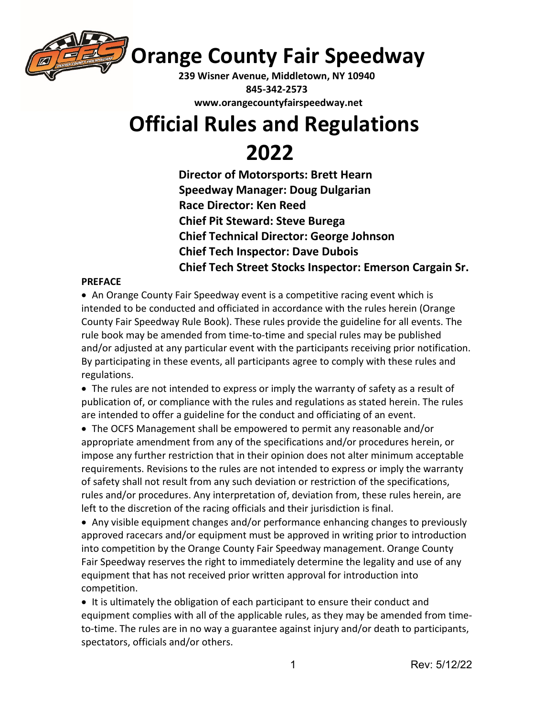

**Orange County Fair Speedway**

**239 Wisner Avenue, Middletown, NY 10940 845-342-2573 www.orangecountyfairspeedway.net**

# **Official Rules and Regulations**

 **2022 Director of Motorsports: Brett Hearn Speedway Manager: Doug Dulgarian Race Director: Ken Reed Chief Pit Steward: Steve Burega Chief Technical Director: George Johnson Chief Tech Inspector: Dave Dubois Chief Tech Street Stocks Inspector: Emerson Cargain Sr.**

# **PREFACE**

• An Orange County Fair Speedway event is a competitive racing event which is intended to be conducted and officiated in accordance with the rules herein (Orange County Fair Speedway Rule Book). These rules provide the guideline for all events. The rule book may be amended from time-to-time and special rules may be published and/or adjusted at any particular event with the participants receiving prior notification. By participating in these events, all participants agree to comply with these rules and regulations.

• The rules are not intended to express or imply the warranty of safety as a result of publication of, or compliance with the rules and regulations as stated herein. The rules are intended to offer a guideline for the conduct and officiating of an event.

• The OCFS Management shall be empowered to permit any reasonable and/or appropriate amendment from any of the specifications and/or procedures herein, or impose any further restriction that in their opinion does not alter minimum acceptable requirements. Revisions to the rules are not intended to express or imply the warranty of safety shall not result from any such deviation or restriction of the specifications, rules and/or procedures. Any interpretation of, deviation from, these rules herein, are left to the discretion of the racing officials and their jurisdiction is final.

• Any visible equipment changes and/or performance enhancing changes to previously approved racecars and/or equipment must be approved in writing prior to introduction into competition by the Orange County Fair Speedway management. Orange County Fair Speedway reserves the right to immediately determine the legality and use of any equipment that has not received prior written approval for introduction into competition.

• It is ultimately the obligation of each participant to ensure their conduct and equipment complies with all of the applicable rules, as they may be amended from timeto-time. The rules are in no way a guarantee against injury and/or death to participants, spectators, officials and/or others.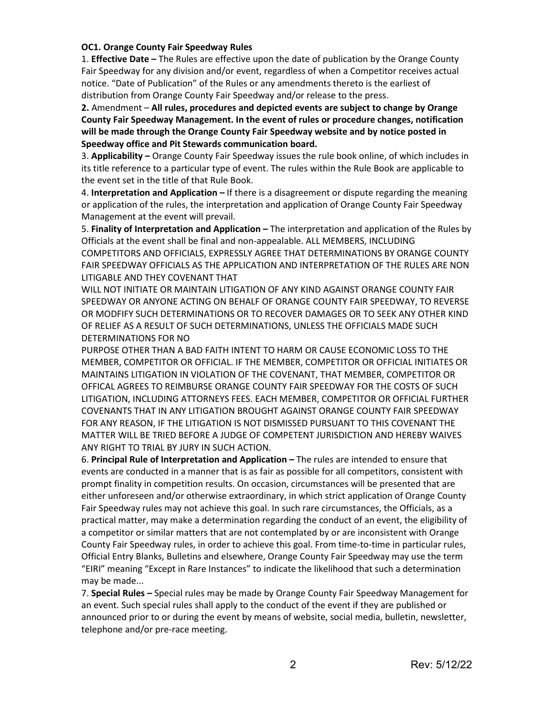#### **OC1. Orange County Fair Speedway Rules**

1. **Effective Date –** The Rules are effective upon the date of publication by the Orange County Fair Speedway for any division and/or event, regardless of when a Competitor receives actual notice. "Date of Publication" of the Rules or any amendments thereto is the earliest of distribution from Orange County Fair Speedway and/or release to the press.

**2.** Amendment – **All rules, procedures and depicted events are subject to change by Orange County Fair Speedway Management. In the event of rules or procedure changes, notification will be made through the Orange County Fair Speedway website and by notice posted in Speedway office and Pit Stewards communication board.**

3. **Applicability –** Orange County Fair Speedway issues the rule book online, of which includes in its title reference to a particular type of event. The rules within the Rule Book are applicable to the event set in the title of that Rule Book.

4. **Interpretation and Application –** If there is a disagreement or dispute regarding the meaning or application of the rules, the interpretation and application of Orange County Fair Speedway Management at the event will prevail.

5. **Finality of Interpretation and Application –** The interpretation and application of the Rules by Officials at the event shall be final and non-appealable. ALL MEMBERS, INCLUDING COMPETITORS AND OFFICIALS, EXPRESSLY AGREE THAT DETERMINATIONS BY ORANGE COUNTY FAIR SPEEDWAY OFFICIALS AS THE APPLICATION AND INTERPRETATION OF THE RULES ARE NON LITIGABLE AND THEY COVENANT THAT

WILL NOT INITIATE OR MAINTAIN LITIGATION OF ANY KIND AGAINST ORANGE COUNTY FAIR SPEEDWAY OR ANYONE ACTING ON BEHALF OF ORANGE COUNTY FAIR SPEEDWAY, TO REVERSE OR MODFIFY SUCH DETERMINATIONS OR TO RECOVER DAMAGES OR TO SEEK ANY OTHER KIND OF RELIEF AS A RESULT OF SUCH DETERMINATIONS, UNLESS THE OFFICIALS MADE SUCH DETERMINATIONS FOR NO

PURPOSE OTHER THAN A BAD FAITH INTENT TO HARM OR CAUSE ECONOMIC LOSS TO THE MEMBER, COMPETITOR OR OFFICIAL. IF THE MEMBER, COMPETITOR OR OFFICIAL INITIATES OR MAINTAINS LITIGATION IN VIOLATION OF THE COVENANT, THAT MEMBER, COMPETITOR OR OFFICAL AGREES TO REIMBURSE ORANGE COUNTY FAIR SPEEDWAY FOR THE COSTS OF SUCH LITIGATION, INCLUDING ATTORNEYS FEES. EACH MEMBER, COMPETITOR OR OFFICIAL FURTHER COVENANTS THAT IN ANY LITIGATION BROUGHT AGAINST ORANGE COUNTY FAIR SPEEDWAY FOR ANY REASON, IF THE LITIGATION IS NOT DISMISSED PURSUANT TO THIS COVENANT THE MATTER WILL BE TRIED BEFORE A JUDGE OF COMPETENT JURISDICTION AND HEREBY WAIVES ANY RIGHT TO TRIAL BY JURY IN SUCH ACTION.

6. **Principal Rule of Interpretation and Application –** The rules are intended to ensure that events are conducted in a manner that is as fair as possible for all competitors, consistent with prompt finality in competition results. On occasion, circumstances will be presented that are either unforeseen and/or otherwise extraordinary, in which strict application of Orange County Fair Speedway rules may not achieve this goal. In such rare circumstances, the Officials, as a practical matter, may make a determination regarding the conduct of an event, the eligibility of a competitor or similar matters that are not contemplated by or are inconsistent with Orange County Fair Speedway rules, in order to achieve this goal. From time-to-time in particular rules, Official Entry Blanks, Bulletins and elsewhere, Orange County Fair Speedway may use the term "EIRI" meaning "Except in Rare Instances" to indicate the likelihood that such a determination may be made...

7. **Special Rules –** Special rules may be made by Orange County Fair Speedway Management for an event. Such special rules shall apply to the conduct of the event if they are published or announced prior to or during the event by means of website, social media, bulletin, newsletter, telephone and/or pre-race meeting.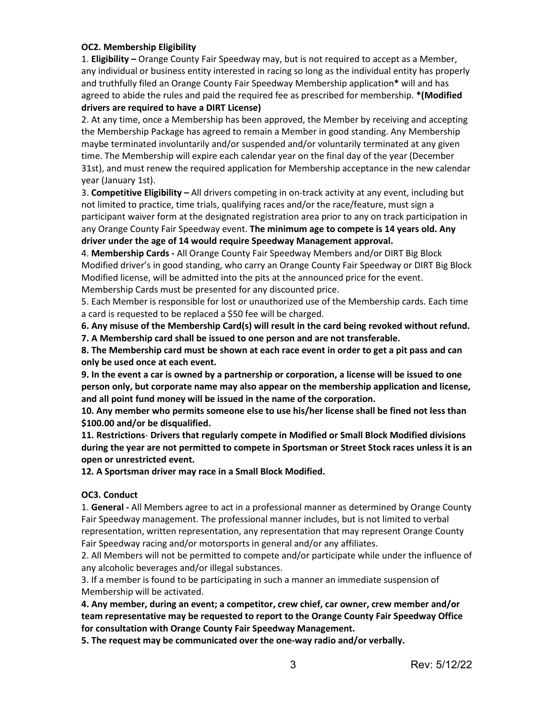#### **OC2. Membership Eligibility**

1. **Eligibility –** Orange County Fair Speedway may, but is not required to accept as a Member, any individual or business entity interested in racing so long as the individual entity has properly and truthfully filed an Orange County Fair Speedway Membership application**\*** will and has agreed to abide the rules and paid the required fee as prescribed for membership. **\*(Modified drivers are required to have a DIRT License)**

2. At any time, once a Membership has been approved, the Member by receiving and accepting the Membership Package has agreed to remain a Member in good standing. Any Membership maybe terminated involuntarily and/or suspended and/or voluntarily terminated at any given time. The Membership will expire each calendar year on the final day of the year (December 31st), and must renew the required application for Membership acceptance in the new calendar year (January 1st).

3. **Competitive Eligibility –** All drivers competing in on-track activity at any event, including but not limited to practice, time trials, qualifying races and/or the race/feature, must sign a participant waiver form at the designated registration area prior to any on track participation in any Orange County Fair Speedway event. **The minimum age to compete is 14 years old. Any driver under the age of 14 would require Speedway Management approval.**

4. **Membership Cards -** All Orange County Fair Speedway Members and/or DIRT Big Block Modified driver's in good standing, who carry an Orange County Fair Speedway or DIRT Big Block Modified license, will be admitted into the pits at the announced price for the event. Membership Cards must be presented for any discounted price.

5. Each Member is responsible for lost or unauthorized use of the Membership cards. Each time a card is requested to be replaced a \$50 fee will be charged.

**6. Any misuse of the Membership Card(s) will result in the card being revoked without refund. 7. A Membership card shall be issued to one person and are not transferable.**

**8. The Membership card must be shown at each race event in order to get a pit pass and can only be used once at each event.**

**9. In the event a car is owned by a partnership or corporation, a license will be issued to one person only, but corporate name may also appear on the membership application and license, and all point fund money will be issued in the name of the corporation.**

**10. Any member who permits someone else to use his/her license shall be fined not less than \$100.00 and/or be disqualified.**

**11. Restrictions**- **Drivers that regularly compete in Modified or Small Block Modified divisions during the year are not permitted to compete in Sportsman or Street Stock races unless it is an open or unrestricted event.**

**12. A Sportsman driver may race in a Small Block Modified.**

# **OC3. Conduct**

1. **General -** All Members agree to act in a professional manner as determined by Orange County Fair Speedway management. The professional manner includes, but is not limited to verbal representation, written representation, any representation that may represent Orange County Fair Speedway racing and/or motorsports in general and/or any affiliates.

2. All Members will not be permitted to compete and/or participate while under the influence of any alcoholic beverages and/or illegal substances.

3. If a member is found to be participating in such a manner an immediate suspension of Membership will be activated.

**4. Any member, during an event; a competitor, crew chief, car owner, crew member and/or team representative may be requested to report to the Orange County Fair Speedway Office for consultation with Orange County Fair Speedway Management.**

**5. The request may be communicated over the one-way radio and/or verbally.**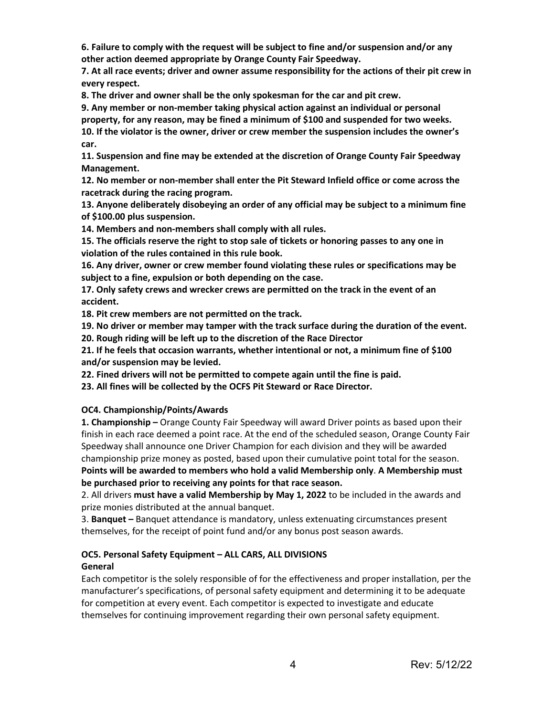**6. Failure to comply with the request will be subject to fine and/or suspension and/or any other action deemed appropriate by Orange County Fair Speedway.**

**7. At all race events; driver and owner assume responsibility for the actions of their pit crew in every respect.**

**8. The driver and owner shall be the only spokesman for the car and pit crew.**

**9. Any member or non-member taking physical action against an individual or personal property, for any reason, may be fined a minimum of \$100 and suspended for two weeks. 10. If the violator is the owner, driver or crew member the suspension includes the owner's car.**

**11. Suspension and fine may be extended at the discretion of Orange County Fair Speedway Management.**

**12. No member or non-member shall enter the Pit Steward Infield office or come across the racetrack during the racing program.**

**13. Anyone deliberately disobeying an order of any official may be subject to a minimum fine of \$100.00 plus suspension.**

**14. Members and non-members shall comply with all rules.**

**15. The officials reserve the right to stop sale of tickets or honoring passes to any one in violation of the rules contained in this rule book.**

**16. Any driver, owner or crew member found violating these rules or specifications may be subject to a fine, expulsion or both depending on the case.**

**17. Only safety crews and wrecker crews are permitted on the track in the event of an accident.**

**18. Pit crew members are not permitted on the track.**

**19. No driver or member may tamper with the track surface during the duration of the event.**

**20. Rough riding will be left up to the discretion of the Race Director**

**21. If he feels that occasion warrants, whether intentional or not, a minimum fine of \$100 and/or suspension may be levied.**

**22. Fined drivers will not be permitted to compete again until the fine is paid.**

**23. All fines will be collected by the OCFS Pit Steward or Race Director.**

#### **OC4. Championship/Points/Awards**

**1. Championship –** Orange County Fair Speedway will award Driver points as based upon their finish in each race deemed a point race. At the end of the scheduled season, Orange County Fair Speedway shall announce one Driver Champion for each division and they will be awarded championship prize money as posted, based upon their cumulative point total for the season. **Points will be awarded to members who hold a valid Membership only**. **A Membership must be purchased prior to receiving any points for that race season.**

2. All drivers **must have a valid Membership by May 1, 2022** to be included in the awards and prize monies distributed at the annual banquet.

3. **Banquet –** Banquet attendance is mandatory, unless extenuating circumstances present themselves, for the receipt of point fund and/or any bonus post season awards.

# **OC5. Personal Safety Equipment – ALL CARS, ALL DIVISIONS General**

Each competitor is the solely responsible of for the effectiveness and proper installation, per the manufacturer's specifications, of personal safety equipment and determining it to be adequate for competition at every event. Each competitor is expected to investigate and educate themselves for continuing improvement regarding their own personal safety equipment.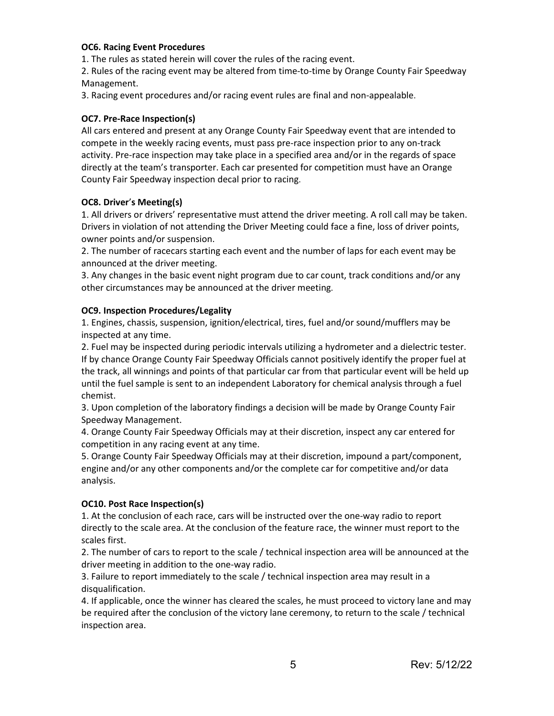#### **OC6. Racing Event Procedures**

1. The rules as stated herein will cover the rules of the racing event.

2. Rules of the racing event may be altered from time-to-time by Orange County Fair Speedway Management.

3. Racing event procedures and/or racing event rules are final and non-appealable.

#### **OC7. Pre-Race Inspection(s)**

All cars entered and present at any Orange County Fair Speedway event that are intended to compete in the weekly racing events, must pass pre-race inspection prior to any on-track activity. Pre-race inspection may take place in a specified area and/or in the regards of space directly at the team's transporter. Each car presented for competition must have an Orange County Fair Speedway inspection decal prior to racing.

#### **OC8. Driver**'**s Meeting(s)**

1. All drivers or drivers' representative must attend the driver meeting. A roll call may be taken. Drivers in violation of not attending the Driver Meeting could face a fine, loss of driver points, owner points and/or suspension.

2. The number of racecars starting each event and the number of laps for each event may be announced at the driver meeting.

3. Any changes in the basic event night program due to car count, track conditions and/or any other circumstances may be announced at the driver meeting.

#### **OC9. Inspection Procedures/Legality**

1. Engines, chassis, suspension, ignition/electrical, tires, fuel and/or sound/mufflers may be inspected at any time.

2. Fuel may be inspected during periodic intervals utilizing a hydrometer and a dielectric tester. If by chance Orange County Fair Speedway Officials cannot positively identify the proper fuel at the track, all winnings and points of that particular car from that particular event will be held up until the fuel sample is sent to an independent Laboratory for chemical analysis through a fuel chemist.

3. Upon completion of the laboratory findings a decision will be made by Orange County Fair Speedway Management.

4. Orange County Fair Speedway Officials may at their discretion, inspect any car entered for competition in any racing event at any time.

5. Orange County Fair Speedway Officials may at their discretion, impound a part/component, engine and/or any other components and/or the complete car for competitive and/or data analysis.

# **OC10. Post Race Inspection(s)**

1. At the conclusion of each race, cars will be instructed over the one-way radio to report directly to the scale area. At the conclusion of the feature race, the winner must report to the scales first.

2. The number of cars to report to the scale / technical inspection area will be announced at the driver meeting in addition to the one-way radio.

3. Failure to report immediately to the scale / technical inspection area may result in a disqualification.

4. If applicable, once the winner has cleared the scales, he must proceed to victory lane and may be required after the conclusion of the victory lane ceremony, to return to the scale / technical inspection area.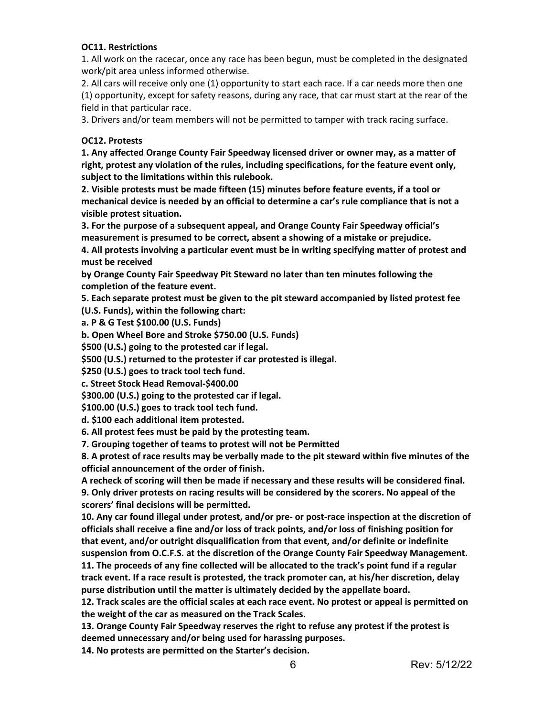#### **OC11. Restrictions**

1. All work on the racecar, once any race has been begun, must be completed in the designated work/pit area unless informed otherwise.

2. All cars will receive only one (1) opportunity to start each race. If a car needs more then one (1) opportunity, except for safety reasons, during any race, that car must start at the rear of the field in that particular race.

3. Drivers and/or team members will not be permitted to tamper with track racing surface.

#### **OC12. Protests**

**1. Any affected Orange County Fair Speedway licensed driver or owner may, as a matter of right, protest any violation of the rules, including specifications, for the feature event only, subject to the limitations within this rulebook.**

**2. Visible protests must be made fifteen (15) minutes before feature events, if a tool or mechanical device is needed by an official to determine a car's rule compliance that is not a visible protest situation.**

**3. For the purpose of a subsequent appeal, and Orange County Fair Speedway official's measurement is presumed to be correct, absent a showing of a mistake or prejudice.**

**4. All protests involving a particular event must be in writing specifying matter of protest and must be received**

**by Orange County Fair Speedway Pit Steward no later than ten minutes following the completion of the feature event.**

**5. Each separate protest must be given to the pit steward accompanied by listed protest fee (U.S. Funds), within the following chart:**

**a. P & G Test \$100.00 (U.S. Funds)**

**b. Open Wheel Bore and Stroke \$750.00 (U.S. Funds)** 

**\$500 (U.S.) going to the protested car if legal.**

**\$500 (U.S.) returned to the protester if car protested is illegal.**

**\$250 (U.S.) goes to track tool tech fund.**

**c. Street Stock Head Removal-\$400.00**

**\$300.00 (U.S.) going to the protested car if legal.**

**\$100.00 (U.S.) goes to track tool tech fund.**

**d. \$100 each additional item protested.**

**6. All protest fees must be paid by the protesting team.**

**7. Grouping together of teams to protest will not be Permitted**

**8. A protest of race results may be verbally made to the pit steward within five minutes of the official announcement of the order of finish.**

**A recheck of scoring will then be made if necessary and these results will be considered final. 9. Only driver protests on racing results will be considered by the scorers. No appeal of the scorers' final decisions will be permitted.**

**10. Any car found illegal under protest, and/or pre- or post-race inspection at the discretion of officials shall receive a fine and/or loss of track points, and/or loss of finishing position for that event, and/or outright disqualification from that event, and/or definite or indefinite suspension from O.C.F.S. at the discretion of the Orange County Fair Speedway Management. 11. The proceeds of any fine collected will be allocated to the track's point fund if a regular track event. If a race result is protested, the track promoter can, at his/her discretion, delay purse distribution until the matter is ultimately decided by the appellate board.**

**12. Track scales are the official scales at each race event. No protest or appeal is permitted on the weight of the car as measured on the Track Scales.**

**13. Orange County Fair Speedway reserves the right to refuse any protest if the protest is deemed unnecessary and/or being used for harassing purposes.**

**14. No protests are permitted on the Starter's decision.**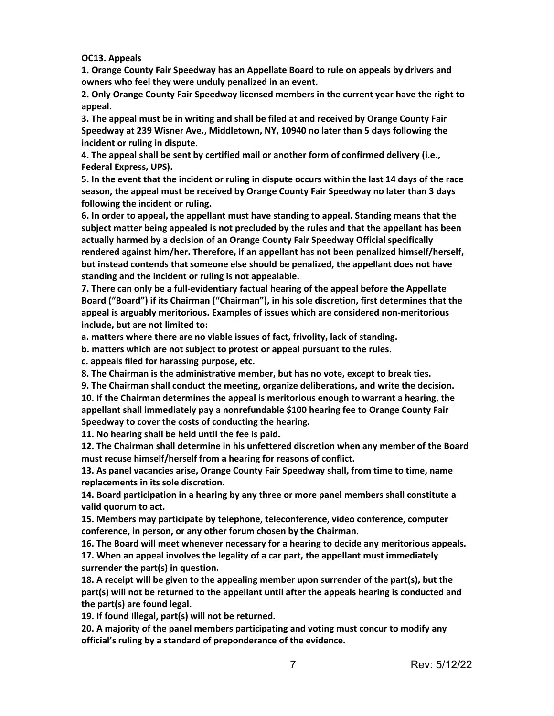**OC13. Appeals**

**1. Orange County Fair Speedway has an Appellate Board to rule on appeals by drivers and owners who feel they were unduly penalized in an event.**

**2. Only Orange County Fair Speedway licensed members in the current year have the right to appeal.**

**3. The appeal must be in writing and shall be filed at and received by Orange County Fair Speedway at 239 Wisner Ave., Middletown, NY, 10940 no later than 5 days following the incident or ruling in dispute.**

**4. The appeal shall be sent by certified mail or another form of confirmed delivery (i.e., Federal Express, UPS).**

**5. In the event that the incident or ruling in dispute occurs within the last 14 days of the race season, the appeal must be received by Orange County Fair Speedway no later than 3 days following the incident or ruling.**

**6. In order to appeal, the appellant must have standing to appeal. Standing means that the subject matter being appealed is not precluded by the rules and that the appellant has been actually harmed by a decision of an Orange County Fair Speedway Official specifically rendered against him/her. Therefore, if an appellant has not been penalized himself/herself, but instead contends that someone else should be penalized, the appellant does not have standing and the incident or ruling is not appealable.**

**7. There can only be a full-evidentiary factual hearing of the appeal before the Appellate Board ("Board") if its Chairman ("Chairman"), in his sole discretion, first determines that the appeal is arguably meritorious. Examples of issues which are considered non-meritorious include, but are not limited to:**

**a. matters where there are no viable issues of fact, frivolity, lack of standing.**

**b. matters which are not subject to protest or appeal pursuant to the rules.**

**c. appeals filed for harassing purpose, etc.**

**8. The Chairman is the administrative member, but has no vote, except to break ties.**

**9. The Chairman shall conduct the meeting, organize deliberations, and write the decision. 10. If the Chairman determines the appeal is meritorious enough to warrant a hearing, the appellant shall immediately pay a nonrefundable \$100 hearing fee to Orange County Fair Speedway to cover the costs of conducting the hearing.**

**11. No hearing shall be held until the fee is paid.**

**12. The Chairman shall determine in his unfettered discretion when any member of the Board must recuse himself/herself from a hearing for reasons of conflict.**

**13. As panel vacancies arise, Orange County Fair Speedway shall, from time to time, name replacements in its sole discretion.**

**14. Board participation in a hearing by any three or more panel members shall constitute a valid quorum to act.**

**15. Members may participate by telephone, teleconference, video conference, computer conference, in person, or any other forum chosen by the Chairman.**

**16. The Board will meet whenever necessary for a hearing to decide any meritorious appeals.**

**17. When an appeal involves the legality of a car part, the appellant must immediately surrender the part(s) in question.**

**18. A receipt will be given to the appealing member upon surrender of the part(s), but the part(s) will not be returned to the appellant until after the appeals hearing is conducted and the part(s) are found legal.**

**19. If found Illegal, part(s) will not be returned.**

**20. A majority of the panel members participating and voting must concur to modify any official's ruling by a standard of preponderance of the evidence.**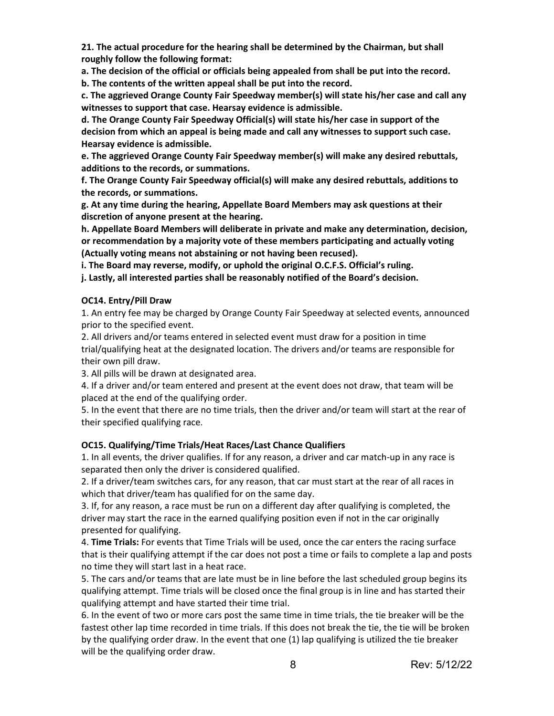**21. The actual procedure for the hearing shall be determined by the Chairman, but shall roughly follow the following format:**

**a. The decision of the official or officials being appealed from shall be put into the record.**

**b. The contents of the written appeal shall be put into the record.**

**c. The aggrieved Orange County Fair Speedway member(s) will state his/her case and call any witnesses to support that case. Hearsay evidence is admissible.**

**d. The Orange County Fair Speedway Official(s) will state his/her case in support of the decision from which an appeal is being made and call any witnesses to support such case. Hearsay evidence is admissible.**

**e. The aggrieved Orange County Fair Speedway member(s) will make any desired rebuttals, additions to the records, or summations.**

**f. The Orange County Fair Speedway official(s) will make any desired rebuttals, additions to the records, or summations.**

**g. At any time during the hearing, Appellate Board Members may ask questions at their discretion of anyone present at the hearing.**

**h. Appellate Board Members will deliberate in private and make any determination, decision, or recommendation by a majority vote of these members participating and actually voting (Actually voting means not abstaining or not having been recused).**

**i. The Board may reverse, modify, or uphold the original O.C.F.S. Official's ruling.**

**j. Lastly, all interested parties shall be reasonably notified of the Board's decision.**

#### **OC14. Entry/Pill Draw**

1. An entry fee may be charged by Orange County Fair Speedway at selected events, announced prior to the specified event.

2. All drivers and/or teams entered in selected event must draw for a position in time trial/qualifying heat at the designated location. The drivers and/or teams are responsible for their own pill draw.

3. All pills will be drawn at designated area.

4. If a driver and/or team entered and present at the event does not draw, that team will be placed at the end of the qualifying order.

5. In the event that there are no time trials, then the driver and/or team will start at the rear of their specified qualifying race.

# **OC15. Qualifying/Time Trials/Heat Races/Last Chance Qualifiers**

1. In all events, the driver qualifies. If for any reason, a driver and car match-up in any race is separated then only the driver is considered qualified.

2. If a driver/team switches cars, for any reason, that car must start at the rear of all races in which that driver/team has qualified for on the same day.

3. If, for any reason, a race must be run on a different day after qualifying is completed, the driver may start the race in the earned qualifying position even if not in the car originally presented for qualifying.

4. **Time Trials:** For events that Time Trials will be used, once the car enters the racing surface that is their qualifying attempt if the car does not post a time or fails to complete a lap and posts no time they will start last in a heat race.

5. The cars and/or teams that are late must be in line before the last scheduled group begins its qualifying attempt. Time trials will be closed once the final group is in line and has started their qualifying attempt and have started their time trial.

6. In the event of two or more cars post the same time in time trials, the tie breaker will be the fastest other lap time recorded in time trials. If this does not break the tie, the tie will be broken by the qualifying order draw. In the event that one (1) lap qualifying is utilized the tie breaker will be the qualifying order draw.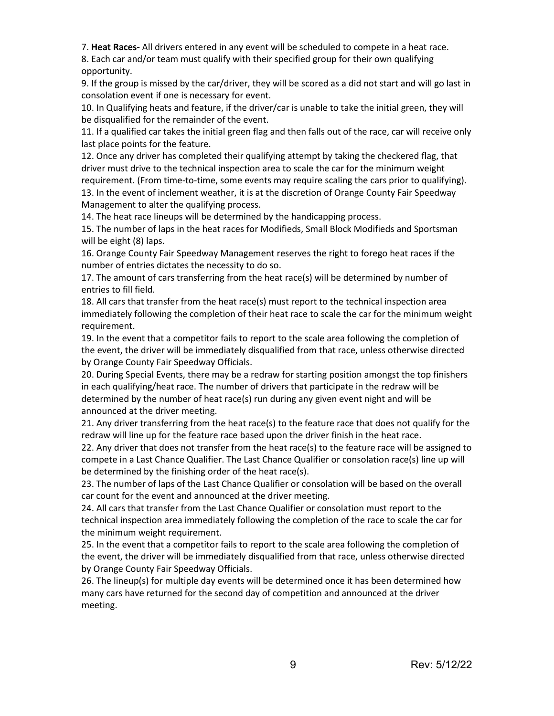7. **Heat Races-** All drivers entered in any event will be scheduled to compete in a heat race.

8. Each car and/or team must qualify with their specified group for their own qualifying opportunity.

9. If the group is missed by the car/driver, they will be scored as a did not start and will go last in consolation event if one is necessary for event.

10. In Qualifying heats and feature, if the driver/car is unable to take the initial green, they will be disqualified for the remainder of the event.

11. If a qualified car takes the initial green flag and then falls out of the race, car will receive only last place points for the feature.

12. Once any driver has completed their qualifying attempt by taking the checkered flag, that driver must drive to the technical inspection area to scale the car for the minimum weight requirement. (From time-to-time, some events may require scaling the cars prior to qualifying). 13. In the event of inclement weather, it is at the discretion of Orange County Fair Speedway Management to alter the qualifying process.

14. The heat race lineups will be determined by the handicapping process.

15. The number of laps in the heat races for Modifieds, Small Block Modifieds and Sportsman will be eight (8) laps.

16. Orange County Fair Speedway Management reserves the right to forego heat races if the number of entries dictates the necessity to do so.

17. The amount of cars transferring from the heat race(s) will be determined by number of entries to fill field.

18. All cars that transfer from the heat race(s) must report to the technical inspection area immediately following the completion of their heat race to scale the car for the minimum weight requirement.

19. In the event that a competitor fails to report to the scale area following the completion of the event, the driver will be immediately disqualified from that race, unless otherwise directed by Orange County Fair Speedway Officials.

20. During Special Events, there may be a redraw for starting position amongst the top finishers in each qualifying/heat race. The number of drivers that participate in the redraw will be determined by the number of heat race(s) run during any given event night and will be announced at the driver meeting.

21. Any driver transferring from the heat race(s) to the feature race that does not qualify for the redraw will line up for the feature race based upon the driver finish in the heat race.

22. Any driver that does not transfer from the heat race(s) to the feature race will be assigned to compete in a Last Chance Qualifier. The Last Chance Qualifier or consolation race(s) line up will be determined by the finishing order of the heat race(s).

23. The number of laps of the Last Chance Qualifier or consolation will be based on the overall car count for the event and announced at the driver meeting.

24. All cars that transfer from the Last Chance Qualifier or consolation must report to the technical inspection area immediately following the completion of the race to scale the car for the minimum weight requirement.

25. In the event that a competitor fails to report to the scale area following the completion of the event, the driver will be immediately disqualified from that race, unless otherwise directed by Orange County Fair Speedway Officials.

26. The lineup(s) for multiple day events will be determined once it has been determined how many cars have returned for the second day of competition and announced at the driver meeting.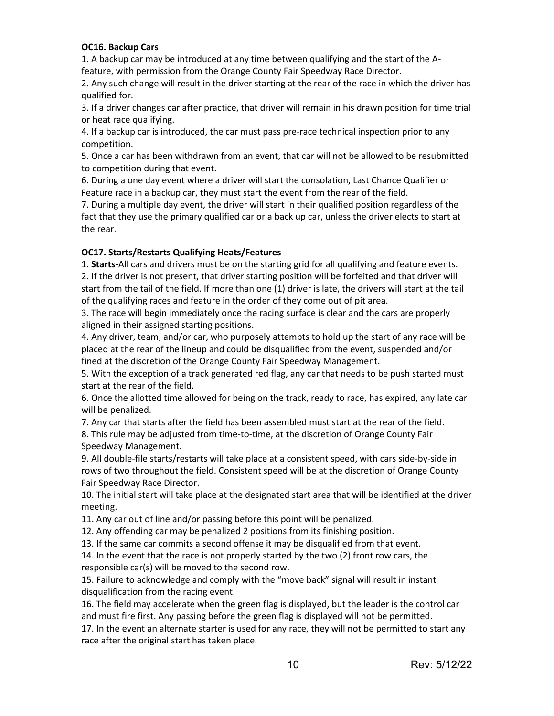#### **OC16. Backup Cars**

1. A backup car may be introduced at any time between qualifying and the start of the Afeature, with permission from the Orange County Fair Speedway Race Director.

2. Any such change will result in the driver starting at the rear of the race in which the driver has qualified for.

3. If a driver changes car after practice, that driver will remain in his drawn position for time trial or heat race qualifying.

4. If a backup car is introduced, the car must pass pre-race technical inspection prior to any competition.

5. Once a car has been withdrawn from an event, that car will not be allowed to be resubmitted to competition during that event.

6. During a one day event where a driver will start the consolation, Last Chance Qualifier or Feature race in a backup car, they must start the event from the rear of the field.

7. During a multiple day event, the driver will start in their qualified position regardless of the fact that they use the primary qualified car or a back up car, unless the driver elects to start at the rear.

# **OC17. Starts/Restarts Qualifying Heats/Features**

1. **Starts-**All cars and drivers must be on the starting grid for all qualifying and feature events. 2. If the driver is not present, that driver starting position will be forfeited and that driver will start from the tail of the field. If more than one (1) driver is late, the drivers will start at the tail of the qualifying races and feature in the order of they come out of pit area.

3. The race will begin immediately once the racing surface is clear and the cars are properly aligned in their assigned starting positions.

4. Any driver, team, and/or car, who purposely attempts to hold up the start of any race will be placed at the rear of the lineup and could be disqualified from the event, suspended and/or fined at the discretion of the Orange County Fair Speedway Management.

5. With the exception of a track generated red flag, any car that needs to be push started must start at the rear of the field.

6. Once the allotted time allowed for being on the track, ready to race, has expired, any late car will be penalized.

7. Any car that starts after the field has been assembled must start at the rear of the field.

8. This rule may be adjusted from time-to-time, at the discretion of Orange County Fair Speedway Management.

9. All double-file starts/restarts will take place at a consistent speed, with cars side-by-side in rows of two throughout the field. Consistent speed will be at the discretion of Orange County Fair Speedway Race Director.

10. The initial start will take place at the designated start area that will be identified at the driver meeting.

11. Any car out of line and/or passing before this point will be penalized.

12. Any offending car may be penalized 2 positions from its finishing position.

13. If the same car commits a second offense it may be disqualified from that event.

14. In the event that the race is not properly started by the two (2) front row cars, the responsible car(s) will be moved to the second row.

15. Failure to acknowledge and comply with the "move back" signal will result in instant disqualification from the racing event.

16. The field may accelerate when the green flag is displayed, but the leader is the control car and must fire first. Any passing before the green flag is displayed will not be permitted.

17. In the event an alternate starter is used for any race, they will not be permitted to start any race after the original start has taken place.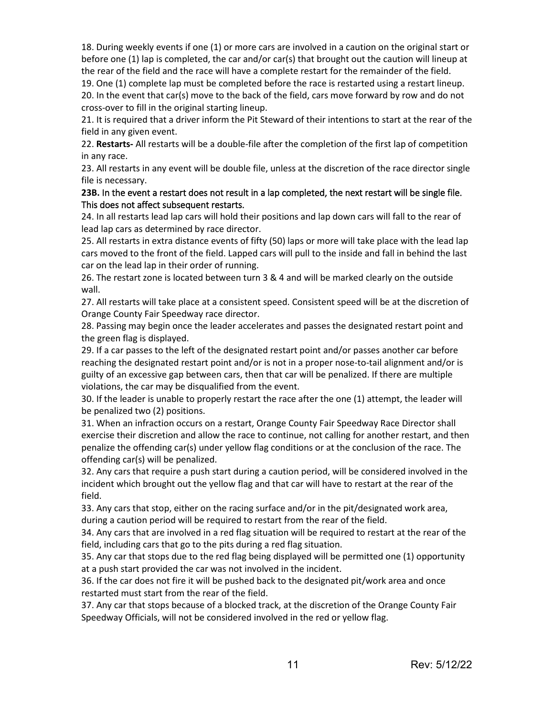18. During weekly events if one (1) or more cars are involved in a caution on the original start or before one (1) lap is completed, the car and/or car(s) that brought out the caution will lineup at the rear of the field and the race will have a complete restart for the remainder of the field.

19. One (1) complete lap must be completed before the race is restarted using a restart lineup. 20. In the event that car(s) move to the back of the field, cars move forward by row and do not cross-over to fill in the original starting lineup.

21. It is required that a driver inform the Pit Steward of their intentions to start at the rear of the field in any given event.

22. **Restarts-** All restarts will be a double-file after the completion of the first lap of competition in any race.

23. All restarts in any event will be double file, unless at the discretion of the race director single file is necessary.

#### **23B.** In the event a restart does not result in a lap completed, the next restart will be single file. This does not affect subsequent restarts.

24. In all restarts lead lap cars will hold their positions and lap down cars will fall to the rear of lead lap cars as determined by race director.

25. All restarts in extra distance events of fifty (50) laps or more will take place with the lead lap cars moved to the front of the field. Lapped cars will pull to the inside and fall in behind the last car on the lead lap in their order of running.

26. The restart zone is located between turn 3 & 4 and will be marked clearly on the outside wall.

27. All restarts will take place at a consistent speed. Consistent speed will be at the discretion of Orange County Fair Speedway race director.

28. Passing may begin once the leader accelerates and passes the designated restart point and the green flag is displayed.

29. If a car passes to the left of the designated restart point and/or passes another car before reaching the designated restart point and/or is not in a proper nose-to-tail alignment and/or is guilty of an excessive gap between cars, then that car will be penalized. If there are multiple violations, the car may be disqualified from the event.

30. If the leader is unable to properly restart the race after the one (1) attempt, the leader will be penalized two (2) positions.

31. When an infraction occurs on a restart, Orange County Fair Speedway Race Director shall exercise their discretion and allow the race to continue, not calling for another restart, and then penalize the offending car(s) under yellow flag conditions or at the conclusion of the race. The offending car(s) will be penalized.

32. Any cars that require a push start during a caution period, will be considered involved in the incident which brought out the yellow flag and that car will have to restart at the rear of the field.

33. Any cars that stop, either on the racing surface and/or in the pit/designated work area, during a caution period will be required to restart from the rear of the field.

34. Any cars that are involved in a red flag situation will be required to restart at the rear of the field, including cars that go to the pits during a red flag situation.

35. Any car that stops due to the red flag being displayed will be permitted one (1) opportunity at a push start provided the car was not involved in the incident.

36. If the car does not fire it will be pushed back to the designated pit/work area and once restarted must start from the rear of the field.

37. Any car that stops because of a blocked track, at the discretion of the Orange County Fair Speedway Officials, will not be considered involved in the red or yellow flag.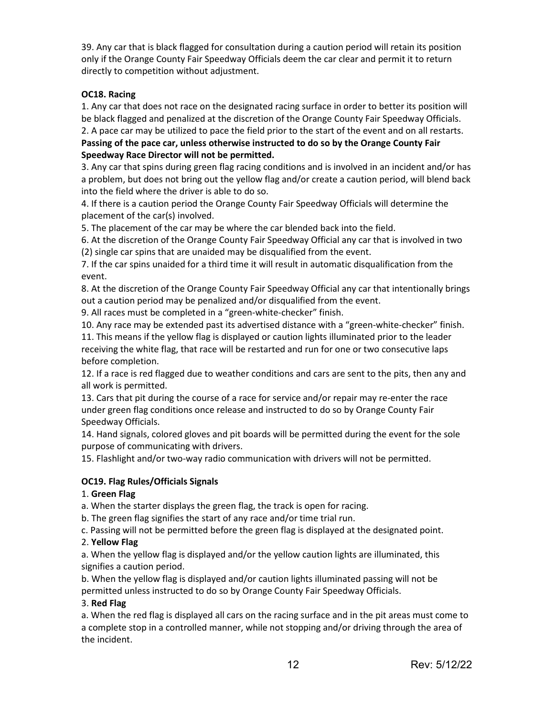39. Any car that is black flagged for consultation during a caution period will retain its position only if the Orange County Fair Speedway Officials deem the car clear and permit it to return directly to competition without adjustment.

# **OC18. Racing**

1. Any car that does not race on the designated racing surface in order to better its position will be black flagged and penalized at the discretion of the Orange County Fair Speedway Officials. 2. A pace car may be utilized to pace the field prior to the start of the event and on all restarts.

**Passing of the pace car, unless otherwise instructed to do so by the Orange County Fair Speedway Race Director will not be permitted.**

3. Any car that spins during green flag racing conditions and is involved in an incident and/or has a problem, but does not bring out the yellow flag and/or create a caution period, will blend back into the field where the driver is able to do so.

4. If there is a caution period the Orange County Fair Speedway Officials will determine the placement of the car(s) involved.

5. The placement of the car may be where the car blended back into the field.

6. At the discretion of the Orange County Fair Speedway Official any car that is involved in two (2) single car spins that are unaided may be disqualified from the event.

7. If the car spins unaided for a third time it will result in automatic disqualification from the event.

8. At the discretion of the Orange County Fair Speedway Official any car that intentionally brings out a caution period may be penalized and/or disqualified from the event.

9. All races must be completed in a "green-white-checker" finish.

10. Any race may be extended past its advertised distance with a "green-white-checker" finish.

11. This means if the yellow flag is displayed or caution lights illuminated prior to the leader receiving the white flag, that race will be restarted and run for one or two consecutive laps before completion.

12. If a race is red flagged due to weather conditions and cars are sent to the pits, then any and all work is permitted.

13. Cars that pit during the course of a race for service and/or repair may re-enter the race under green flag conditions once release and instructed to do so by Orange County Fair Speedway Officials.

14. Hand signals, colored gloves and pit boards will be permitted during the event for the sole purpose of communicating with drivers.

15. Flashlight and/or two-way radio communication with drivers will not be permitted.

# **OC19. Flag Rules/Officials Signals**

# 1. **Green Flag**

a. When the starter displays the green flag, the track is open for racing.

b. The green flag signifies the start of any race and/or time trial run.

c. Passing will not be permitted before the green flag is displayed at the designated point.

# 2. **Yellow Flag**

a. When the yellow flag is displayed and/or the yellow caution lights are illuminated, this signifies a caution period.

b. When the yellow flag is displayed and/or caution lights illuminated passing will not be permitted unless instructed to do so by Orange County Fair Speedway Officials.

# 3. **Red Flag**

a. When the red flag is displayed all cars on the racing surface and in the pit areas must come to a complete stop in a controlled manner, while not stopping and/or driving through the area of the incident.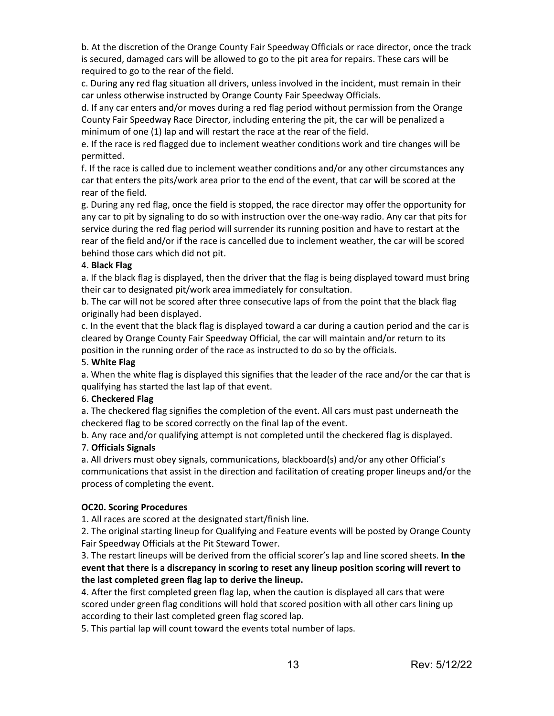b. At the discretion of the Orange County Fair Speedway Officials or race director, once the track is secured, damaged cars will be allowed to go to the pit area for repairs. These cars will be required to go to the rear of the field.

c. During any red flag situation all drivers, unless involved in the incident, must remain in their car unless otherwise instructed by Orange County Fair Speedway Officials.

d. If any car enters and/or moves during a red flag period without permission from the Orange County Fair Speedway Race Director, including entering the pit, the car will be penalized a minimum of one (1) lap and will restart the race at the rear of the field.

e. If the race is red flagged due to inclement weather conditions work and tire changes will be permitted.

f. If the race is called due to inclement weather conditions and/or any other circumstances any car that enters the pits/work area prior to the end of the event, that car will be scored at the rear of the field.

g. During any red flag, once the field is stopped, the race director may offer the opportunity for any car to pit by signaling to do so with instruction over the one-way radio. Any car that pits for service during the red flag period will surrender its running position and have to restart at the rear of the field and/or if the race is cancelled due to inclement weather, the car will be scored behind those cars which did not pit.

# 4. **Black Flag**

a. If the black flag is displayed, then the driver that the flag is being displayed toward must bring their car to designated pit/work area immediately for consultation.

b. The car will not be scored after three consecutive laps of from the point that the black flag originally had been displayed.

c. In the event that the black flag is displayed toward a car during a caution period and the car is cleared by Orange County Fair Speedway Official, the car will maintain and/or return to its position in the running order of the race as instructed to do so by the officials.

#### 5. **White Flag**

a. When the white flag is displayed this signifies that the leader of the race and/or the car that is qualifying has started the last lap of that event.

# 6. **Checkered Flag**

a. The checkered flag signifies the completion of the event. All cars must past underneath the checkered flag to be scored correctly on the final lap of the event.

b. Any race and/or qualifying attempt is not completed until the checkered flag is displayed.

# 7. **Officials Signals**

a. All drivers must obey signals, communications, blackboard(s) and/or any other Official's communications that assist in the direction and facilitation of creating proper lineups and/or the process of completing the event.

# **OC20. Scoring Procedures**

1. All races are scored at the designated start/finish line.

2. The original starting lineup for Qualifying and Feature events will be posted by Orange County Fair Speedway Officials at the Pit Steward Tower.

3. The restart lineups will be derived from the official scorer's lap and line scored sheets. **In the event that there is a discrepancy in scoring to reset any lineup position scoring will revert to the last completed green flag lap to derive the lineup.**

4. After the first completed green flag lap, when the caution is displayed all cars that were scored under green flag conditions will hold that scored position with all other cars lining up according to their last completed green flag scored lap.

5. This partial lap will count toward the events total number of laps.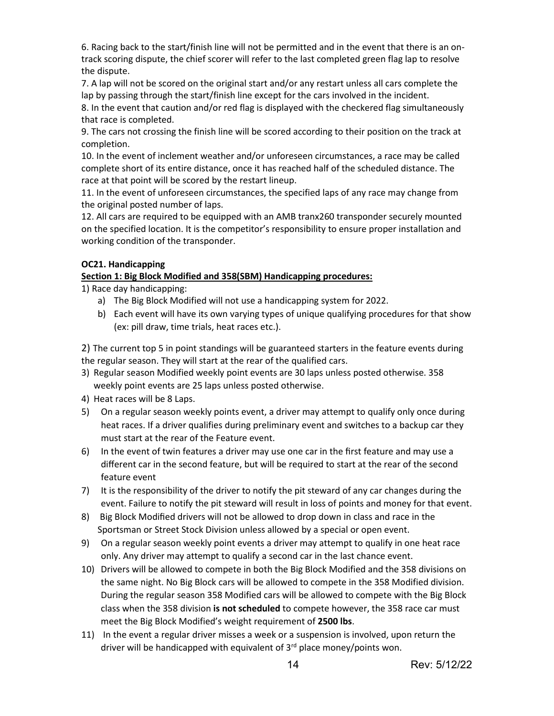6. Racing back to the start/finish line will not be permitted and in the event that there is an ontrack scoring dispute, the chief scorer will refer to the last completed green flag lap to resolve the dispute.

7. A lap will not be scored on the original start and/or any restart unless all cars complete the lap by passing through the start/finish line except for the cars involved in the incident.

8. In the event that caution and/or red flag is displayed with the checkered flag simultaneously that race is completed.

9. The cars not crossing the finish line will be scored according to their position on the track at completion.

10. In the event of inclement weather and/or unforeseen circumstances, a race may be called complete short of its entire distance, once it has reached half of the scheduled distance. The race at that point will be scored by the restart lineup.

11. In the event of unforeseen circumstances, the specified laps of any race may change from the original posted number of laps.

12. All cars are required to be equipped with an AMB tranx260 transponder securely mounted on the specified location. It is the competitor's responsibility to ensure proper installation and working condition of the transponder.

# **OC21. Handicapping**

# **Section 1: Big Block Modified and 358(SBM) Handicapping procedures:**

1) Race day handicapping:

- a) The Big Block Modified will not use a handicapping system for 2022.
- b) Each event will have its own varying types of unique qualifying procedures for that show (ex: pill draw, time trials, heat races etc.).

2) The current top 5 in point standings will be guaranteed starters in the feature events during the regular season. They will start at the rear of the qualified cars.

- 3) Regular season Modified weekly point events are 30 laps unless posted otherwise. 358 weekly point events are 25 laps unless posted otherwise.
- 4) Heat races will be 8 Laps.
- 5) On a regular season weekly points event, a driver may attempt to qualify only once during heat races. If a driver qualifies during preliminary event and switches to a backup car they must start at the rear of the Feature event.
- 6) In the event of twin features a driver may use one car in the first feature and may use a different car in the second feature, but will be required to start at the rear of the second feature event
- 7) It is the responsibility of the driver to notify the pit steward of any car changes during the event. Failure to notify the pit steward will result in loss of points and money for that event.
- 8) Big Block Modified drivers will not be allowed to drop down in class and race in the Sportsman or Street Stock Division unless allowed by a special or open event.
- 9) On a regular season weekly point events a driver may attempt to qualify in one heat race only. Any driver may attempt to qualify a second car in the last chance event.
- 10) Drivers will be allowed to compete in both the Big Block Modified and the 358 divisions on the same night. No Big Block cars will be allowed to compete in the 358 Modified division. During the regular season 358 Modified cars will be allowed to compete with the Big Block class when the 358 division **is not scheduled** to compete however, the 358 race car must meet the Big Block Modified's weight requirement of **2500 lbs**.
- 11) In the event a regular driver misses a week or a suspension is involved, upon return the driver will be handicapped with equivalent of  $3<sup>rd</sup>$  place money/points won.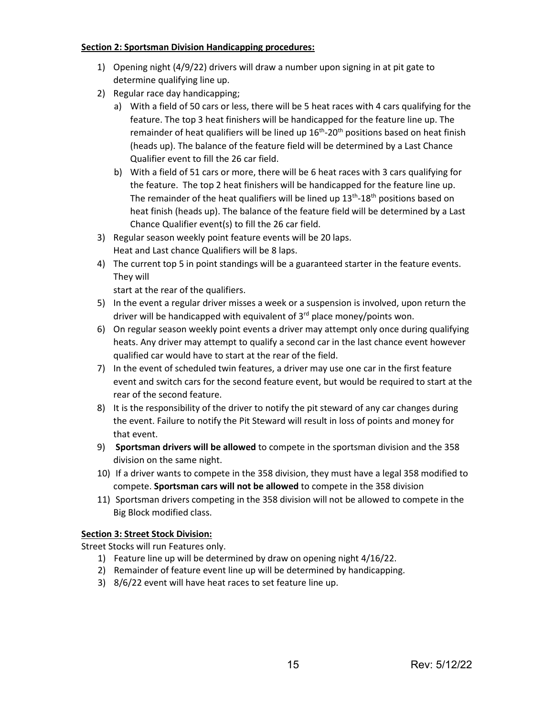#### **Section 2: Sportsman Division Handicapping procedures:**

- 1) Opening night (4/9/22) drivers will draw a number upon signing in at pit gate to determine qualifying line up.
- 2) Regular race day handicapping;
	- a) With a field of 50 cars or less, there will be 5 heat races with 4 cars qualifying for the feature. The top 3 heat finishers will be handicapped for the feature line up. The remainder of heat qualifiers will be lined up  $16<sup>th</sup>$ -20<sup>th</sup> positions based on heat finish (heads up). The balance of the feature field will be determined by a Last Chance Qualifier event to fill the 26 car field.
	- b) With a field of 51 cars or more, there will be 6 heat races with 3 cars qualifying for the feature. The top 2 heat finishers will be handicapped for the feature line up. The remainder of the heat qualifiers will be lined up  $13<sup>th</sup>$ -18<sup>th</sup> positions based on heat finish (heads up). The balance of the feature field will be determined by a Last Chance Qualifier event(s) to fill the 26 car field.
- 3) Regular season weekly point feature events will be 20 laps. Heat and Last chance Qualifiers will be 8 laps.
- 4) The current top 5 in point standings will be a guaranteed starter in the feature events. They will

start at the rear of the qualifiers.

- 5) In the event a regular driver misses a week or a suspension is involved, upon return the driver will be handicapped with equivalent of  $3<sup>rd</sup>$  place money/points won.
- 6) On regular season weekly point events a driver may attempt only once during qualifying heats. Any driver may attempt to qualify a second car in the last chance event however qualified car would have to start at the rear of the field.
- 7) In the event of scheduled twin features, a driver may use one car in the first feature event and switch cars for the second feature event, but would be required to start at the rear of the second feature.
- 8) It is the responsibility of the driver to notify the pit steward of any car changes during the event. Failure to notify the Pit Steward will result in loss of points and money for that event.
- 9) **Sportsman drivers will be allowed** to compete in the sportsman division and the 358 division on the same night.
- 10) If a driver wants to compete in the 358 division, they must have a legal 358 modified to compete. **Sportsman cars will not be allowed** to compete in the 358 division
- 11) Sportsman drivers competing in the 358 division will not be allowed to compete in the Big Block modified class.

# **Section 3: Street Stock Division:**

Street Stocks will run Features only.

- 1) Feature line up will be determined by draw on opening night 4/16/22.
- 2) Remainder of feature event line up will be determined by handicapping.
- 3) 8/6/22 event will have heat races to set feature line up.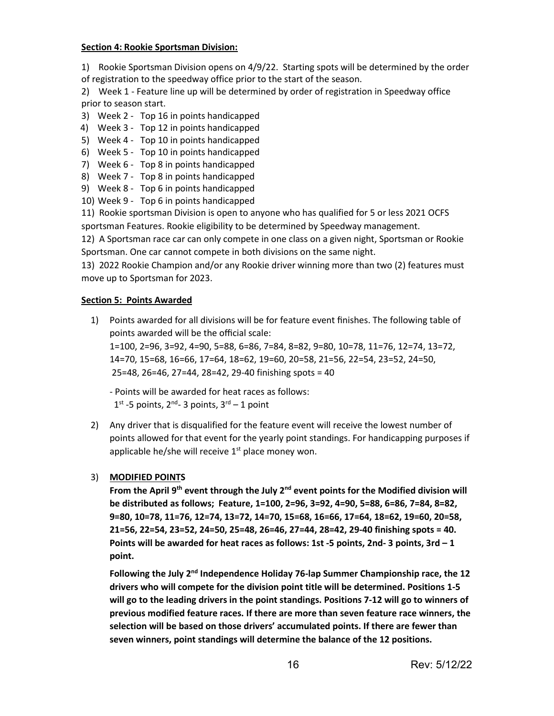#### **Section 4: Rookie Sportsman Division:**

1) Rookie Sportsman Division opens on 4/9/22. Starting spots will be determined by the order of registration to the speedway office prior to the start of the season.

2) Week 1 - Feature line up will be determined by order of registration in Speedway office prior to season start.

- 3) Week 2 Top 16 in points handicapped
- 4) Week 3 Top 12 in points handicapped
- 5) Week 4 Top 10 in points handicapped
- 6) Week 5 Top 10 in points handicapped
- 7) Week 6 Top 8 in points handicapped
- 8) Week 7 Top 8 in points handicapped
- 9) Week 8 Top 6 in points handicapped
- 10) Week 9 Top 6 in points handicapped

11) Rookie sportsman Division is open to anyone who has qualified for 5 or less 2021 OCFS sportsman Features. Rookie eligibility to be determined by Speedway management.

12) A Sportsman race car can only compete in one class on a given night, Sportsman or Rookie Sportsman. One car cannot compete in both divisions on the same night.

13) 2022 Rookie Champion and/or any Rookie driver winning more than two (2) features must move up to Sportsman for 2023.

#### **Section 5: Points Awarded**

1) Points awarded for all divisions will be for feature event finishes. The following table of points awarded will be the official scale: 1=100, 2=96, 3=92, 4=90, 5=88, 6=86, 7=84, 8=82, 9=80, 10=78, 11=76, 12=74, 13=72, 14=70, 15=68, 16=66, 17=64, 18=62, 19=60, 20=58, 21=56, 22=54, 23=52, 24=50,

25=48, 26=46, 27=44, 28=42, 29-40 finishing spots = 40

- Points will be awarded for heat races as follows:  $1<sup>st</sup>$  -5 points,  $2<sup>nd</sup>$ -3 points,  $3<sup>rd</sup>$ -1 point

2) Any driver that is disqualified for the feature event will receive the lowest number of points allowed for that event for the yearly point standings. For handicapping purposes if applicable he/she will receive  $1<sup>st</sup>$  place money won.

#### 3) **MODIFIED POINTS**

**From the April 9th event through the July 2nd event points for the Modified division will be distributed as follows; Feature, 1=100, 2=96, 3=92, 4=90, 5=88, 6=86, 7=84, 8=82, 9=80, 10=78, 11=76, 12=74, 13=72, 14=70, 15=68, 16=66, 17=64, 18=62, 19=60, 20=58, 21=56, 22=54, 23=52, 24=50, 25=48, 26=46, 27=44, 28=42, 29-40 finishing spots = 40. Points will be awarded for heat races as follows: 1st -5 points, 2nd- 3 points, 3rd – 1 point.**

**Following the July 2nd Independence Holiday 76-lap Summer Championship race, the 12 drivers who will compete for the division point title will be determined. Positions 1-5 will go to the leading drivers in the point standings. Positions 7-12 will go to winners of previous modified feature races. If there are more than seven feature race winners, the selection will be based on those drivers' accumulated points. If there are fewer than seven winners, point standings will determine the balance of the 12 positions.**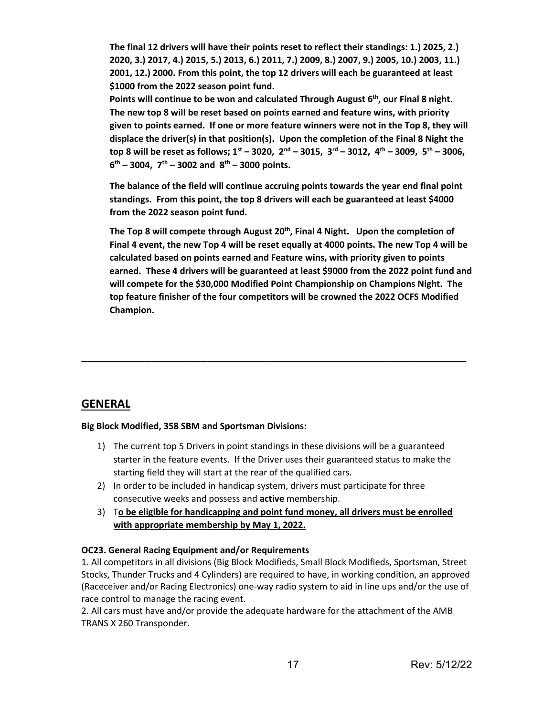**The final 12 drivers will have their points reset to reflect their standings: 1.) 2025, 2.) 2020, 3.) 2017, 4.) 2015, 5.) 2013, 6.) 2011, 7.) 2009, 8.) 2007, 9.) 2005, 10.) 2003, 11.) 2001, 12.) 2000. From this point, the top 12 drivers will each be guaranteed at least \$1000 from the 2022 season point fund.**

Points will continue to be won and calculated Through August 6<sup>th</sup>, our Final 8 night. **The new top 8 will be reset based on points earned and feature wins, with priority given to points earned. If one or more feature winners were not in the Top 8, they will displace the driver(s) in that position(s). Upon the completion of the Final 8 Night the top 8 will be reset as follows; 1st – 3020, 2nd – 3015, 3rd – 3012, 4th – 3009, 5th – 3006, 6th – 3004, 7th – 3002 and 8th – 3000 points.**

**The balance of the field will continue accruing points towards the year end final point standings. From this point, the top 8 drivers will each be guaranteed at least \$4000 from the 2022 season point fund.**

The Top 8 will compete through August 20<sup>th</sup>, Final 4 Night. Upon the completion of **Final 4 event, the new Top 4 will be reset equally at 4000 points. The new Top 4 will be calculated based on points earned and Feature wins, with priority given to points earned. These 4 drivers will be guaranteed at least \$9000 from the 2022 point fund and will compete for the \$30,000 Modified Point Championship on Champions Night. The top feature finisher of the four competitors will be crowned the 2022 OCFS Modified Champion.** 

# **GENERAL**

# **Big Block Modified, 358 SBM and Sportsman Divisions:**

1) The current top 5 Drivers in point standings in these divisions will be a guaranteed starter in the feature events. If the Driver uses their guaranteed status to make the starting field they will start at the rear of the qualified cars.

**\_\_\_\_\_\_\_\_\_\_\_\_\_\_\_\_\_\_\_\_\_\_\_\_\_\_\_\_\_\_\_\_\_\_\_\_\_\_\_\_\_\_\_\_\_\_\_\_\_\_\_\_\_\_\_\_\_\_\_\_\_**

- 2) In order to be included in handicap system, drivers must participate for three consecutive weeks and possess and **active** membership.
- 3) T**o be eligible for handicapping and point fund money, all drivers must be enrolled with appropriate membership by May 1, 2022.**

# **OC23. General Racing Equipment and/or Requirements**

1. All competitors in all divisions (Big Block Modifieds, Small Block Modifieds, Sportsman, Street Stocks, Thunder Trucks and 4 Cylinders) are required to have, in working condition, an approved (Raceceiver and/or Racing Electronics) one-way radio system to aid in line ups and/or the use of race control to manage the racing event.

2. All cars must have and/or provide the adequate hardware for the attachment of the AMB TRANS X 260 Transponder.